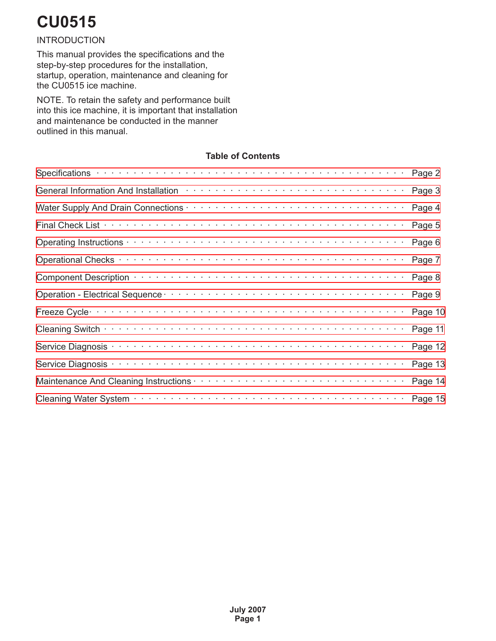#### INTRODUCTION

This manual provides the specifications and the step-by-step procedures for the installation, startup, operation, maintenance and cleaning for the CU0515 ice machine.

NOTE. To retain the safety and performance built into this ice machine, it is important that installation and maintenance be conducted in the manner outlined in this manual.

#### **Table of Contents**

| General Information And Installation Albert And Albert Albert Albert Albert Anderstand Information And Installation Albert Albert Albert Albert Albert Albert Albert Albert Albert Albert Albert Albert Albert Albert Albert A |  |
|--------------------------------------------------------------------------------------------------------------------------------------------------------------------------------------------------------------------------------|--|
| Page 4                                                                                                                                                                                                                         |  |
| Page 5                                                                                                                                                                                                                         |  |
| Page 6                                                                                                                                                                                                                         |  |
| Page 7                                                                                                                                                                                                                         |  |
| Page 8                                                                                                                                                                                                                         |  |
| Page 9                                                                                                                                                                                                                         |  |
| Page 10                                                                                                                                                                                                                        |  |
| Page 11                                                                                                                                                                                                                        |  |
| Page 12                                                                                                                                                                                                                        |  |
| Page 13                                                                                                                                                                                                                        |  |
| Page 14                                                                                                                                                                                                                        |  |
|                                                                                                                                                                                                                                |  |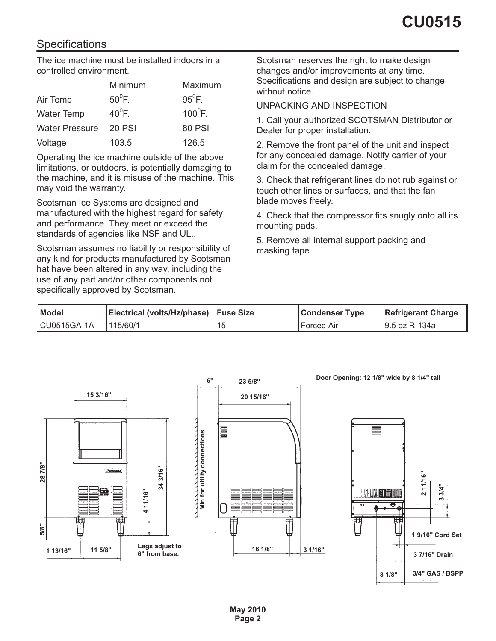### <span id="page-1-0"></span>**Specifications**

The ice machine must be installed indoors in a controlled environment.

|                       | Minimum       | Maximum       |
|-----------------------|---------------|---------------|
| Air Temp              | $50^0$ F.     | $95^0$ F.     |
| <b>Water Temp</b>     | $40^0$ F.     | $100^0$ F.    |
| <b>Water Pressure</b> | <b>20 PSI</b> | <b>80 PSI</b> |
| Voltage               | 103.5         | 126.5         |

Operating the ice machine outside of the above limitations, or outdoors, is potentially damaging to the machine, and it is misuse of the machine. This may void the warranty.

Scotsman Ice Systems are designed and manufactured with the highest regard for safety and performance. They meet or exceed the standards of agencies like NSF and UL..

Scotsman assumes no liability or responsibility of any kind for products manufactured by Scotsman hat have been altered in any way, including the use of any part and/or other components not specifically approved by Scotsman.

Scotsman reserves the right to make design changes and/or improvements at any time. Specifications and design are subject to change without notice.

#### UNPACKING AND INSPECTION

1. Call your authorized SCOTSMAN Distributor or Dealer for proper installation.

2. Remove the front panel of the unit and inspect for any concealed damage. Notify carrier of your claim for the concealed damage.

3. Check that refrigerant lines do not rub against or touch other lines or surfaces, and that the fan blade moves freely.

4. Check that the compressor fits snugly onto all its mounting pads.

5. Remove all internal support packing and masking tape.

| Model        | Electrical (volts/Hz/phase) | <b>Fuse Size</b> | <b>Condenser Type</b> | <b>Refrigerant Charge</b> |
|--------------|-----------------------------|------------------|-----------------------|---------------------------|
| ∥CU0515GA-1A | 115/60/1                    | 15               | Forced Air            | ∣9.5 oz R-134a            |

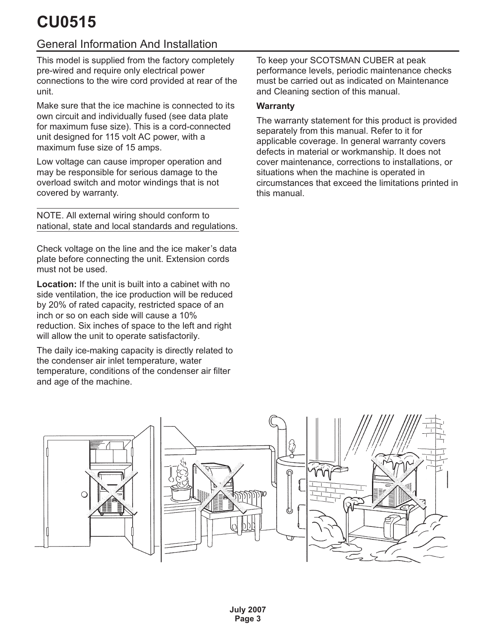## <span id="page-2-0"></span>General Information And Installation

This model is supplied from the factory completely pre-wired and require only electrical power connections to the wire cord provided at rear of the unit.

Make sure that the ice machine is connected to its own circuit and individually fused (see data plate for maximum fuse size). This is a cord-connected unit designed for 115 volt AC power, with a maximum fuse size of 15 amps.

Low voltage can cause improper operation and may be responsible for serious damage to the overload switch and motor windings that is not covered by warranty.

NOTE. All external wiring should conform to national, state and local standards and regulations.

Check voltage on the line and the ice maker's data plate before connecting the unit. Extension cords must not be used.

**Location:** If the unit is built into a cabinet with no side ventilation, the ice production will be reduced by 20% of rated capacity, restricted space of an inch or so on each side will cause a 10% reduction. Six inches of space to the left and right will allow the unit to operate satisfactorily.

The daily ice-making capacity is directly related to the condenser air inlet temperature, water temperature, conditions of the condenser air filter and age of the machine.

To keep your SCOTSMAN CUBER at peak performance levels, periodic maintenance checks must be carried out as indicated on Maintenance and Cleaning section of this manual.

#### **Warranty**

The warranty statement for this product is provided separately from this manual. Refer to it for applicable coverage. In general warranty covers defects in material or workmanship. It does not cover maintenance, corrections to installations, or situations when the machine is operated in circumstances that exceed the limitations printed in this manual.

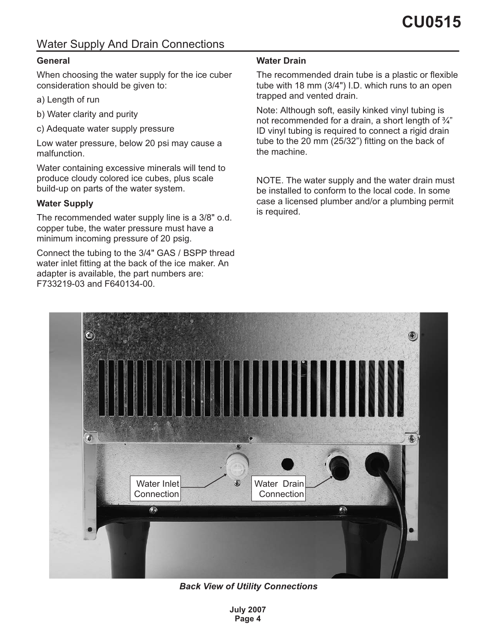### <span id="page-3-0"></span>Water Supply And Drain Connections

#### **General**

When choosing the water supply for the ice cuber consideration should be given to:

- a) Length of run
- b) Water clarity and purity
- c) Adequate water supply pressure

Low water pressure, below 20 psi may cause a malfunction.

Water containing excessive minerals will tend to produce cloudy colored ice cubes, plus scale build-up on parts of the water system.

#### **Water Supply**

The recommended water supply line is a 3/8" o.d. copper tube, the water pressure must have a minimum incoming pressure of 20 psig.

Connect the tubing to the 3/4" GAS / BSPP thread water inlet fitting at the back of the ice maker. An adapter is available, the part numbers are: F733219-03 and F640134-00.

#### **Water Drain**

The recommended drain tube is a plastic or flexible tube with 18 mm (3/4") I.D. which runs to an open trapped and vented drain.

Note: Although soft, easily kinked vinyl tubing is not recommended for a drain, a short length of ¾" ID vinyl tubing is required to connect a rigid drain tube to the 20 mm (25/32") fitting on the back of the machine.

NOTE. The water supply and the water drain must be installed to conform to the local code. In some case a licensed plumber and/or a plumbing permit is required.



*Back View of Utility Connections*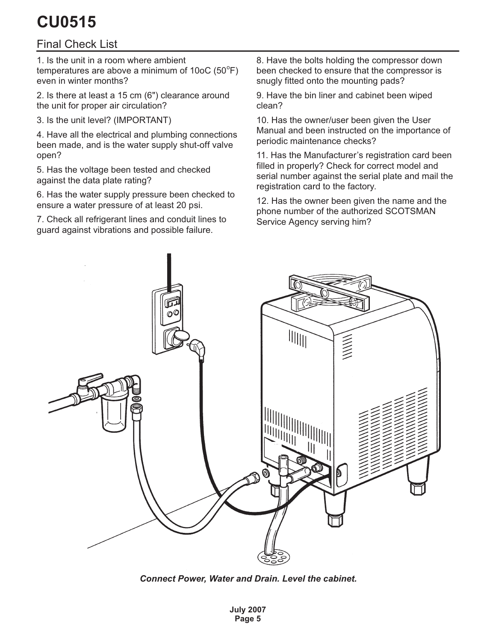### <span id="page-4-0"></span>Final Check List

1. Is the unit in a room where ambient temperatures are above a minimum of 10oC (50 $\mathrm{^oF})$ even in winter months?

2. Is there at least a 15 cm (6") clearance around the unit for proper air circulation?

3. Is the unit level? (IMPORTANT)

4. Have all the electrical and plumbing connections been made, and is the water supply shut-off valve open?

5. Has the voltage been tested and checked against the data plate rating?

6. Has the water supply pressure been checked to ensure a water pressure of at least 20 psi.

7. Check all refrigerant lines and conduit lines to guard against vibrations and possible failure.

8. Have the bolts holding the compressor down been checked to ensure that the compressor is snugly fitted onto the mounting pads?

9. Have the bin liner and cabinet been wiped clean?

10. Has the owner/user been given the User Manual and been instructed on the importance of periodic maintenance checks?

11. Has the Manufacturer's registration card been filled in properly? Check for correct model and serial number against the serial plate and mail the registration card to the factory.

12. Has the owner been given the name and the phone number of the authorized SCOTSMAN Service Agency serving him?



*Connect Power, Water and Drain. Level the cabinet.*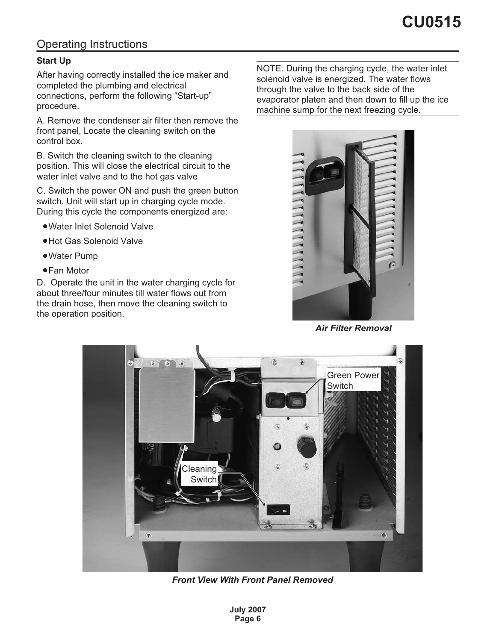### <span id="page-5-0"></span>Operating Instructions

#### **Start Up**

After having correctly installed the ice maker and completed the plumbing and electrical connections, perform the following "Start-up" procedure.

A. Remove the condenser air filter then remove the front panel, Locate the cleaning switch on the control box.

B. Switch the cleaning switch to the cleaning position. This will close the electrical circuit to the water inlet valve and to the hot gas valve

C. Switch the power ON and push the green button switch. Unit will start up in charging cycle mode. During this cycle the components energized are:

- **-**Water Inlet Solenoid Valve
- **-**Hot Gas Solenoid Valve
- **-**Water Pump
- **-**Fan Motor

D. Operate the unit in the water charging cycle for about three/four minutes till water flows out from the drain hose, then move the cleaning switch to the operation position.

NOTE. During the charging cycle, the water inlet solenoid valve is energized. The water flows through the valve to the back side of the evaporator platen and then down to fill up the ice machine sump for the next freezing cycle.



*Air Filter Removal*



*Front View With Front Panel Removed*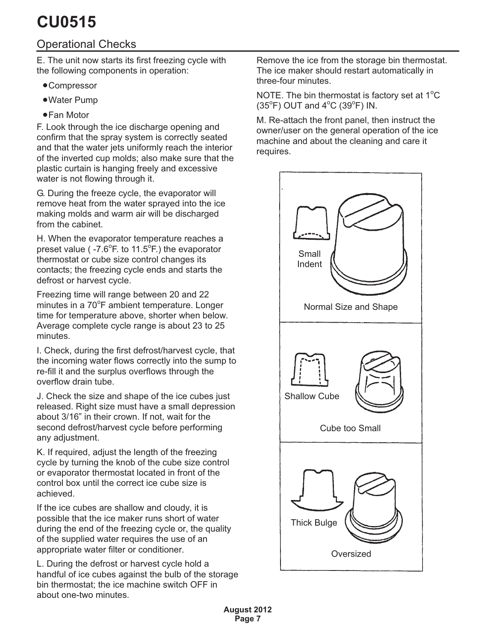## <span id="page-6-0"></span>Operational Checks

E. The unit now starts its first freezing cycle with the following components in operation:

- **-**Compressor
- **-**Water Pump
- **-**Fan Motor

F. Look through the ice discharge opening and confirm that the spray system is correctly seated and that the water jets uniformly reach the interior of the inverted cup molds; also make sure that the plastic curtain is hanging freely and excessive water is not flowing through it.

G. During the freeze cycle, the evaporator will remove heat from the water sprayed into the ice making molds and warm air will be discharged from the cabinet.

H. When the evaporator temperature reaches a preset value ( -7.6 $\mathrm{^oF}$ . to 11.5 $\mathrm{^oF}$ .) the evaporator thermostat or cube size control changes its contacts; the freezing cycle ends and starts the defrost or harvest cycle.

Freezing time will range between 20 and 22 minutes in a 70°F ambient temperature. Longer time for temperature above, shorter when below. Average complete cycle range is about 23 to 25 minutes.

I. Check, during the first defrost/harvest cycle, that the incoming water flows correctly into the sump to re-fill it and the surplus overflows through the overflow drain tube.

J. Check the size and shape of the ice cubes just released. Right size must have a small depression about 3/16" in their crown. If not, wait for the second defrost/harvest cycle before performing any adjustment.

K. If required, adjust the length of the freezing cycle by turning the knob of the cube size control or evaporator thermostat located in front of the control box until the correct ice cube size is achieved.

If the ice cubes are shallow and cloudy, it is possible that the ice maker runs short of water during the end of the freezing cycle or, the quality of the supplied water requires the use of an appropriate water filter or conditioner.

L. During the defrost or harvest cycle hold a handful of ice cubes against the bulb of the storage bin thermostat; the ice machine switch OFF in about one-two minutes.

Remove the ice from the storage bin thermostat. The ice maker should restart automatically in three-four minutes.

NOTE. The bin thermostat is factory set at  $1^{\circ}$ C  $(35^{\circ}F)$  OUT and  $4^{\circ}C$   $(39^{\circ}F)$  IN.

M. Re-attach the front panel, then instruct the owner/user on the general operation of the ice machine and about the cleaning and care it requires.

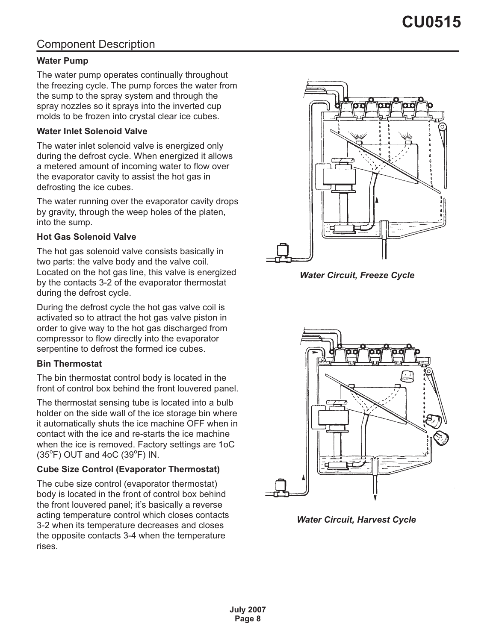### <span id="page-7-0"></span>Component Description

#### **Water Pump**

The water pump operates continually throughout the freezing cycle. The pump forces the water from the sump to the spray system and through the spray nozzles so it sprays into the inverted cup molds to be frozen into crystal clear ice cubes.

#### **Water Inlet Solenoid Valve**

The water inlet solenoid valve is energized only during the defrost cycle. When energized it allows a metered amount of incoming water to flow over the evaporator cavity to assist the hot gas in defrosting the ice cubes.

The water running over the evaporator cavity drops by gravity, through the weep holes of the platen, into the sump.

#### **Hot Gas Solenoid Valve**

The hot gas solenoid valve consists basically in two parts: the valve body and the valve coil. Located on the hot gas line, this valve is energized by the contacts 3-2 of the evaporator thermostat during the defrost cycle.

During the defrost cycle the hot gas valve coil is activated so to attract the hot gas valve piston in order to give way to the hot gas discharged from compressor to flow directly into the evaporator serpentine to defrost the formed ice cubes.

#### **Bin Thermostat**

The bin thermostat control body is located in the front of control box behind the front louvered panel.

The thermostat sensing tube is located into a bulb holder on the side wall of the ice storage bin where it automatically shuts the ice machine OFF when in contact with the ice and re-starts the ice machine when the ice is removed. Factory settings are 1oC  $(35^{\circ}F)$  OUT and 4oC  $(39^{\circ}F)$  IN.

#### **Cube Size Control (Evaporator Thermostat)**

The cube size control (evaporator thermostat) body is located in the front of control box behind the front louvered panel; it's basically a reverse acting temperature control which closes contacts 3-2 when its temperature decreases and closes the opposite contacts 3-4 when the temperature rises.



*Water Circuit, Freeze Cycle*



*Water Circuit, Harvest Cycle*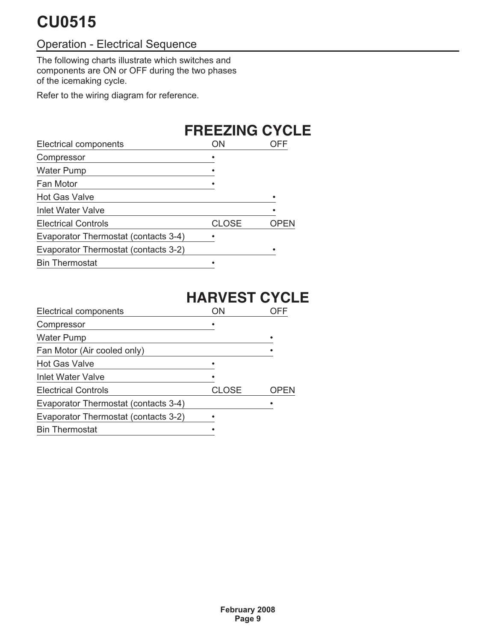### <span id="page-8-0"></span>Operation - Electrical Sequence

The following charts illustrate which switches and components are ON or OFF during the two phases of the icemaking cycle.

Refer to the wiring diagram for reference.

## **FREEZING CYCLE**

| Electrical components                | ON           | OF F |
|--------------------------------------|--------------|------|
| Compressor                           |              |      |
| <b>Water Pump</b>                    |              |      |
| Fan Motor                            |              |      |
| <b>Hot Gas Valve</b>                 |              |      |
| <b>Inlet Water Valve</b>             |              |      |
| <b>Electrical Controls</b>           | <b>CLOSE</b> | OPEN |
| Evaporator Thermostat (contacts 3-4) |              |      |
| Evaporator Thermostat (contacts 3-2) |              |      |
| <b>Bin Thermostat</b>                |              |      |

## **HARVEST CYCLE**

| Electrical components                | ON           | OFF  |
|--------------------------------------|--------------|------|
| Compressor                           |              |      |
| <b>Water Pump</b>                    |              |      |
| Fan Motor (Air cooled only)          |              |      |
| <b>Hot Gas Valve</b>                 |              |      |
| Inlet Water Valve                    |              |      |
| <b>Electrical Controls</b>           | <b>CLOSE</b> | OPFN |
| Evaporator Thermostat (contacts 3-4) |              |      |
| Evaporator Thermostat (contacts 3-2) |              |      |
| <b>Bin Thermostat</b>                |              |      |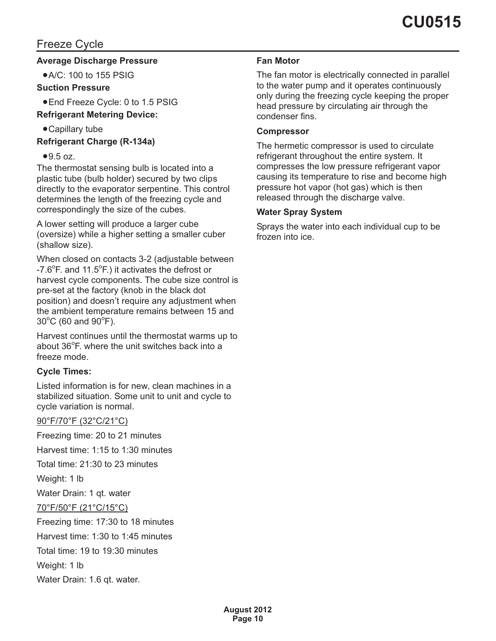### <span id="page-9-0"></span>Freeze Cycle

#### **Average Discharge Pressure**

**-**A/C: 100 to 155 PSIG

#### **Suction Pressure**

**-**End Freeze Cycle: 0 to 1.5 PSIG **Refrigerant Metering Device:**

## **-**Capillary tube

#### **Refrigerant Charge (R-134a)**

## **-**9.5 oz.

The thermostat sensing bulb is located into a plastic tube (bulb holder) secured by two clips directly to the evaporator serpentine. This control determines the length of the freezing cycle and correspondingly the size of the cubes.

A lower setting will produce a larger cube (oversize) while a higher setting a smaller cuber (shallow size).

When closed on contacts 3-2 (adjustable between -7.6 $\mathrm{^{\circ}F.}$  and 11.5 $\mathrm{^{\circ}F.}$ ) it activates the defrost or harvest cycle components. The cube size control is pre-set at the factory (knob in the black dot position) and doesn't require any adjustment when the ambient temperature remains between 15 and  $30^{\circ}$ C (60 and  $90^{\circ}$ F).

Harvest continues until the thermostat warms up to about  $36^{\circ}$ F. where the unit switches back into a freeze mode.

#### **Cycle Times:**

Listed information is for new, clean machines in a stabilized situation. Some unit to unit and cycle to cycle variation is normal.

#### 90°F/70°F (32°C/21°C)

Freezing time: 20 to 21 minutes

Harvest time: 1:15 to 1:30 minutes

Total time: 21:30 to 23 minutes

Weight: 1 lb

Water Drain: 1 qt. water

70°F/50°F (21°C/15°C)

Freezing time: 17:30 to 18 minutes

Harvest time: 1:30 to 1:45 minutes

Total time: 19 to 19:30 minutes

Weight: 1 lb

Water Drain: 1.6 qt. water.

#### **Fan Motor**

The fan motor is electrically connected in parallel to the water pump and it operates continuously only during the freezing cycle keeping the proper head pressure by circulating air through the condenser fins.

#### **Compressor**

The hermetic compressor is used to circulate refrigerant throughout the entire system. It compresses the low pressure refrigerant vapor causing its temperature to rise and become high pressure hot vapor (hot gas) which is then released through the discharge valve.

#### **Water Spray System**

Sprays the water into each individual cup to be frozen into ice.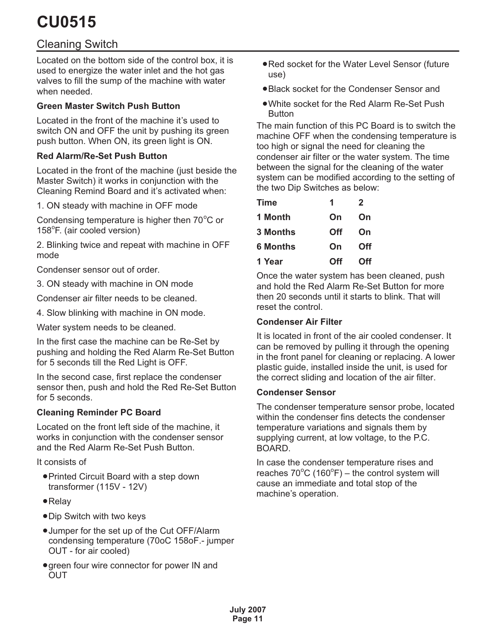### <span id="page-10-0"></span>Cleaning Switch

Located on the bottom side of the control box, it is used to energize the water inlet and the hot gas valves to fill the sump of the machine with water when needed.

#### **Green Master Switch Push Button**

Located in the front of the machine it's used to switch ON and OFF the unit by pushing its green push button. When ON, its green light is ON.

#### **Red Alarm/Re-Set Push Button**

Located in the front of the machine (just beside the Master Switch) it works in conjunction with the Cleaning Remind Board and it's activated when:

1. ON steady with machine in OFF mode

Condensing temperature is higher then  $70^{\circ}$ C or 158°F. (air cooled version)

2. Blinking twice and repeat with machine in OFF mode

Condenser sensor out of order.

3. ON steady with machine in ON mode

Condenser air filter needs to be cleaned.

4. Slow blinking with machine in ON mode.

Water system needs to be cleaned.

In the first case the machine can be Re-Set by pushing and holding the Red Alarm Re-Set Button for 5 seconds till the Red Light is OFF.

In the second case, first replace the condenser sensor then, push and hold the Red Re-Set Button for 5 seconds.

#### **Cleaning Reminder PC Board**

Located on the front left side of the machine, it works in conjunction with the condenser sensor and the Red Alarm Re-Set Push Button.

It consists of

- **-**Printed Circuit Board with a step down transformer (115V - 12V)
- **-**Relay
- **-**Dip Switch with two keys
- **-**Jumper for the set up of the Cut OFF/Alarm condensing temperature (70oC 158oF.- jumper OUT - for air cooled)
- **-**green four wire connector for power IN and OUT
- **-**Red socket for the Water Level Sensor (future use)
- **-**Black socket for the Condenser Sensor and
- **-**White socket for the Red Alarm Re-Set Push **Button**

The main function of this PC Board is to switch the machine OFF when the condensing temperature is too high or signal the need for cleaning the condenser air filter or the water system. The time between the signal for the cleaning of the water system can be modified according to the setting of the two Dip Switches as below:

| Time            | 1          | 2          |
|-----------------|------------|------------|
| 1 Month         | On         | On         |
| <b>3 Months</b> | <b>Off</b> | On         |
| <b>6 Months</b> | On         | <b>Off</b> |
| 1 Year          | <b>Off</b> | <b>Off</b> |

Once the water system has been cleaned, push and hold the Red Alarm Re-Set Button for more then 20 seconds until it starts to blink. That will reset the control.

#### **Condenser Air Filter**

It is located in front of the air cooled condenser. It can be removed by pulling it through the opening in the front panel for cleaning or replacing. A lower plastic guide, installed inside the unit, is used for the correct sliding and location of the air filter.

#### **Condenser Sensor**

The condenser temperature sensor probe, located within the condenser fins detects the condenser temperature variations and signals them by supplying current, at low voltage, to the P.C. BOARD.

In case the condenser temperature rises and reaches  $70^{\circ}$ C (160 $^{\circ}$ F) – the control system will cause an immediate and total stop of the machine's operation.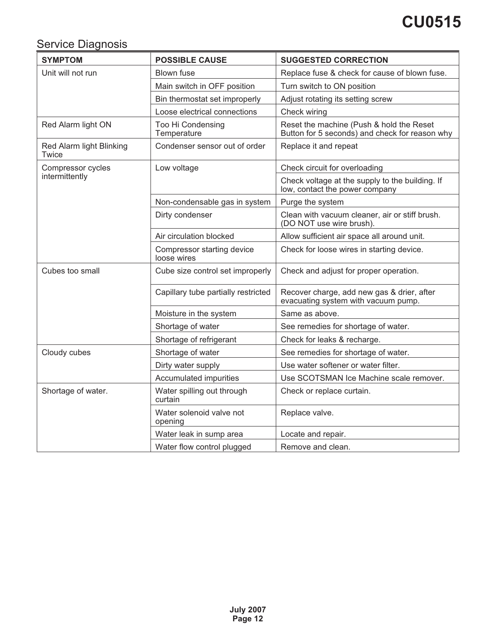## <span id="page-11-0"></span>Service Diagnosis

| <b>SYMPTOM</b>                    | <b>POSSIBLE CAUSE</b>                     | <b>SUGGESTED CORRECTION</b>                                                                |
|-----------------------------------|-------------------------------------------|--------------------------------------------------------------------------------------------|
| Unit will not run                 | <b>Blown fuse</b>                         | Replace fuse & check for cause of blown fuse.                                              |
|                                   | Main switch in OFF position               | Turn switch to ON position                                                                 |
|                                   | Bin thermostat set improperly             | Adjust rotating its setting screw                                                          |
|                                   | Loose electrical connections              | Check wiring                                                                               |
| Red Alarm light ON                | Too Hi Condensing<br>Temperature          | Reset the machine (Push & hold the Reset<br>Button for 5 seconds) and check for reason why |
| Red Alarm light Blinking<br>Twice | Condenser sensor out of order             | Replace it and repeat                                                                      |
| Compressor cycles                 | Low voltage                               | Check circuit for overloading                                                              |
| intermittently                    |                                           | Check voltage at the supply to the building. If<br>low, contact the power company          |
|                                   | Non-condensable gas in system             | Purge the system                                                                           |
|                                   | Dirty condenser                           | Clean with vacuum cleaner, air or stiff brush.<br>(DO NOT use wire brush).                 |
|                                   | Air circulation blocked                   | Allow sufficient air space all around unit.                                                |
|                                   | Compressor starting device<br>loose wires | Check for loose wires in starting device.                                                  |
| Cubes too small                   | Cube size control set improperly          | Check and adjust for proper operation.                                                     |
|                                   | Capillary tube partially restricted       | Recover charge, add new gas & drier, after<br>evacuating system with vacuum pump.          |
|                                   | Moisture in the system                    | Same as above.                                                                             |
|                                   | Shortage of water                         | See remedies for shortage of water.                                                        |
|                                   | Shortage of refrigerant                   | Check for leaks & recharge.                                                                |
| Cloudy cubes                      | Shortage of water                         | See remedies for shortage of water.                                                        |
|                                   | Dirty water supply                        | Use water softener or water filter.                                                        |
|                                   | Accumulated impurities                    | Use SCOTSMAN Ice Machine scale remover.                                                    |
| Shortage of water.                | Water spilling out through<br>curtain     | Check or replace curtain.                                                                  |
|                                   | Water solenoid valve not<br>opening       | Replace valve.                                                                             |
|                                   | Water leak in sump area                   | Locate and repair.                                                                         |
|                                   | Water flow control plugged                | Remove and clean.                                                                          |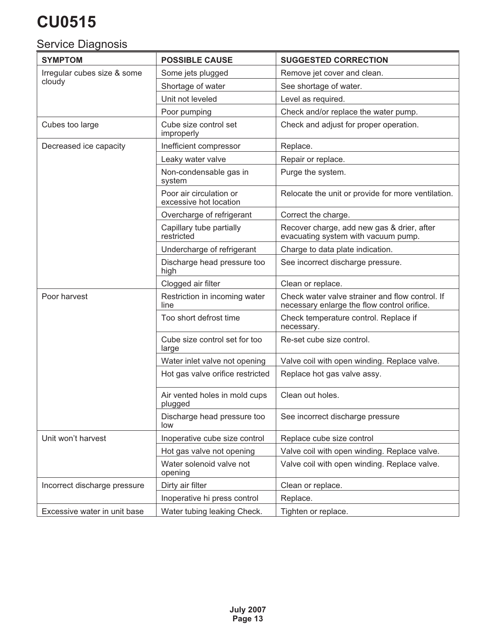## <span id="page-12-0"></span>Service Diagnosis

| <b>SYMPTOM</b>               | <b>POSSIBLE CAUSE</b>                             | <b>SUGGESTED CORRECTION</b>                                                                    |
|------------------------------|---------------------------------------------------|------------------------------------------------------------------------------------------------|
| Irregular cubes size & some  | Some jets plugged                                 | Remove jet cover and clean.                                                                    |
| cloudy                       | Shortage of water                                 | See shortage of water.                                                                         |
|                              | Unit not leveled                                  | Level as required.                                                                             |
|                              | Poor pumping                                      | Check and/or replace the water pump.                                                           |
| Cubes too large              | Cube size control set<br>improperly               | Check and adjust for proper operation.                                                         |
| Decreased ice capacity       | Inefficient compressor                            | Replace.                                                                                       |
|                              | Leaky water valve                                 | Repair or replace.                                                                             |
|                              | Non-condensable gas in<br>system                  | Purge the system.                                                                              |
|                              | Poor air circulation or<br>excessive hot location | Relocate the unit or provide for more ventilation.                                             |
|                              | Overcharge of refrigerant                         | Correct the charge.                                                                            |
|                              | Capillary tube partially<br>restricted            | Recover charge, add new gas & drier, after<br>evacuating system with vacuum pump.              |
|                              | Undercharge of refrigerant                        | Charge to data plate indication.                                                               |
|                              | Discharge head pressure too<br>high               | See incorrect discharge pressure.                                                              |
|                              | Clogged air filter                                | Clean or replace.                                                                              |
| Poor harvest                 | Restriction in incoming water<br>line             | Check water valve strainer and flow control. If<br>necessary enlarge the flow control orifice. |
|                              | Too short defrost time                            | Check temperature control. Replace if<br>necessary.                                            |
|                              | Cube size control set for too<br>large            | Re-set cube size control.                                                                      |
|                              | Water inlet valve not opening                     | Valve coil with open winding. Replace valve.                                                   |
|                              | Hot gas valve orifice restricted                  | Replace hot gas valve assy.                                                                    |
|                              | Air vented holes in mold cups<br>plugged          | Clean out holes.                                                                               |
|                              | Discharge head pressure too<br>low                | See incorrect discharge pressure                                                               |
| Unit won't harvest           | Inoperative cube size control                     | Replace cube size control                                                                      |
|                              | Hot gas valve not opening                         | Valve coil with open winding. Replace valve.                                                   |
|                              | Water solenoid valve not<br>opening               | Valve coil with open winding. Replace valve.                                                   |
| Incorrect discharge pressure | Dirty air filter                                  | Clean or replace.                                                                              |
|                              | Inoperative hi press control                      | Replace.                                                                                       |
| Excessive water in unit base | Water tubing leaking Check.                       | Tighten or replace.                                                                            |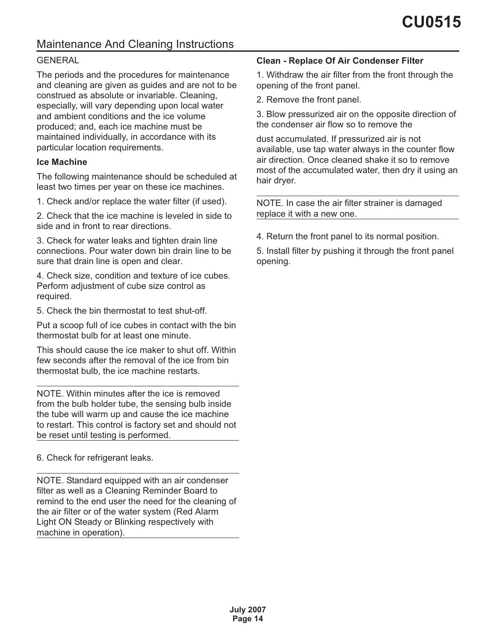### <span id="page-13-0"></span>Maintenance And Cleaning Instructions

#### **GENERAL**

The periods and the procedures for maintenance and cleaning are given as guides and are not to be construed as absolute or invariable. Cleaning, especially, will vary depending upon local water and ambient conditions and the ice volume produced; and, each ice machine must be maintained individually, in accordance with its particular location requirements.

#### **Ice Machine**

The following maintenance should be scheduled at least two times per year on these ice machines.

1. Check and/or replace the water filter (if used).

2. Check that the ice machine is leveled in side to side and in front to rear directions.

3. Check for water leaks and tighten drain line connections. Pour water down bin drain line to be sure that drain line is open and clear.

4. Check size, condition and texture of ice cubes. Perform adjustment of cube size control as required.

5. Check the bin thermostat to test shut-off.

Put a scoop full of ice cubes in contact with the bin thermostat bulb for at least one minute.

This should cause the ice maker to shut off. Within few seconds after the removal of the ice from bin thermostat bulb, the ice machine restarts.

NOTE. Within minutes after the ice is removed from the bulb holder tube, the sensing bulb inside the tube will warm up and cause the ice machine to restart. This control is factory set and should not be reset until testing is performed.

6. Check for refrigerant leaks.

NOTE. Standard equipped with an air condenser filter as well as a Cleaning Reminder Board to remind to the end user the need for the cleaning of the air filter or of the water system (Red Alarm Light ON Steady or Blinking respectively with machine in operation).

#### **Clean - Replace Of Air Condenser Filter**

1. Withdraw the air filter from the front through the opening of the front panel.

2. Remove the front panel.

3. Blow pressurized air on the opposite direction of the condenser air flow so to remove the

dust accumulated. If pressurized air is not available, use tap water always in the counter flow air direction. Once cleaned shake it so to remove most of the accumulated water, then dry it using an hair dryer.

NOTE. In case the air filter strainer is damaged replace it with a new one.

4. Return the front panel to its normal position.

5. Install filter by pushing it through the front panel opening.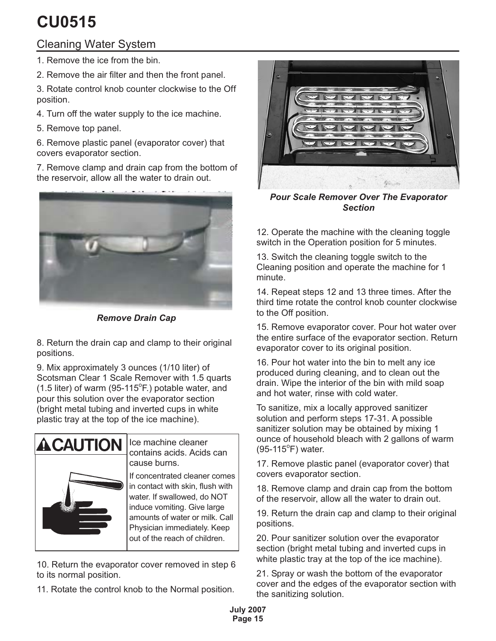## <span id="page-14-0"></span>Cleaning Water System

1. Remove the ice from the bin.

2. Remove the air filter and then the front panel.

3. Rotate control knob counter clockwise to the Off position.

4. Turn off the water supply to the ice machine.

5. Remove top panel.

6. Remove plastic panel (evaporator cover) that covers evaporator section.

7. Remove clamp and drain cap from the bottom of the reservoir, allow all the water to drain out.



*Remove Drain Cap*

8. Return the drain cap and clamp to their original positions.

9. Mix approximately 3 ounces (1/10 liter) of Scotsman Clear 1 Scale Remover with 1.5 quarts  $(1.5$  liter) of warm  $(95-115^{\circ}F)$  potable water, and pour this solution over the evaporator section (bright metal tubing and inverted cups in white plastic tray at the top of the ice machine).



Ice machine cleaner contains acids. Acids can cause burns.

If concentrated cleaner comes in contact with skin, flush with water. If swallowed, do NOT induce vomiting. Give large amounts of water or milk. Call Physician immediately. Keep out of the reach of children.

10. Return the evaporator cover removed in step 6 to its normal position.

11. Rotate the control knob to the Normal position.



*Pour Scale Remover Over The Evaporator Section*

12. Operate the machine with the cleaning toggle switch in the Operation position for 5 minutes.

13. Switch the cleaning toggle switch to the Cleaning position and operate the machine for 1 minute.

14. Repeat steps 12 and 13 three times. After the third time rotate the control knob counter clockwise to the Off position.

15. Remove evaporator cover. Pour hot water over the entire surface of the evaporator section. Return evaporator cover to its original position.

16. Pour hot water into the bin to melt any ice produced during cleaning, and to clean out the drain. Wipe the interior of the bin with mild soap and hot water, rinse with cold water.

To sanitize, mix a locally approved sanitizer solution and perform steps 17-31. A possible sanitizer solution may be obtained by mixing 1 ounce of household bleach with 2 gallons of warm (95-115°F) water.

17. Remove plastic panel (evaporator cover) that covers evaporator section.

18. Remove clamp and drain cap from the bottom of the reservoir, allow all the water to drain out.

19. Return the drain cap and clamp to their original positions.

20. Pour sanitizer solution over the evaporator section (bright metal tubing and inverted cups in white plastic tray at the top of the ice machine).

21. Spray or wash the bottom of the evaporator cover and the edges of the evaporator section with the sanitizing solution.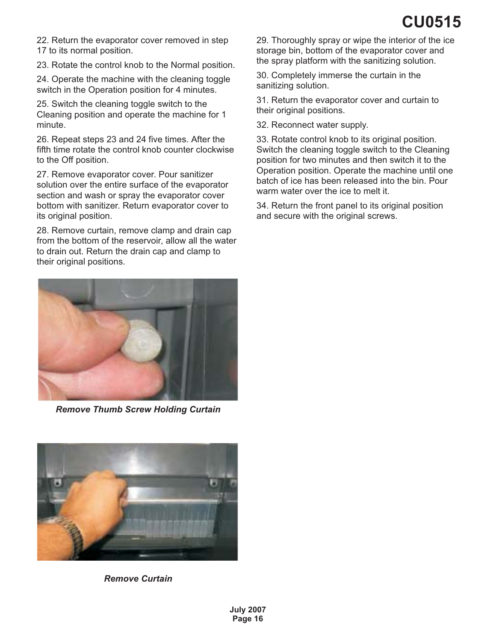22. Return the evaporator cover removed in step 17 to its normal position.

23. Rotate the control knob to the Normal position.

24. Operate the machine with the cleaning toggle switch in the Operation position for 4 minutes.

25. Switch the cleaning toggle switch to the Cleaning position and operate the machine for 1 minute.

26. Repeat steps 23 and 24 five times. After the fifth time rotate the control knob counter clockwise to the Off position.

27. Remove evaporator cover. Pour sanitizer solution over the entire surface of the evaporator section and wash or spray the evaporator cover bottom with sanitizer. Return evaporator cover to its original position.

28. Remove curtain, remove clamp and drain cap from the bottom of the reservoir, allow all the water to drain out. Return the drain cap and clamp to their original positions.



*Remove Thumb Screw Holding Curtain*



*Remove Curtain*

29. Thoroughly spray or wipe the interior of the ice storage bin, bottom of the evaporator cover and the spray platform with the sanitizing solution.

30. Completely immerse the curtain in the sanitizing solution.

31. Return the evaporator cover and curtain to their original positions.

32. Reconnect water supply.

33. Rotate control knob to its original position. Switch the cleaning toggle switch to the Cleaning position for two minutes and then switch it to the Operation position. Operate the machine until one batch of ice has been released into the bin. Pour warm water over the ice to melt it.

34. Return the front panel to its original position and secure with the original screws.